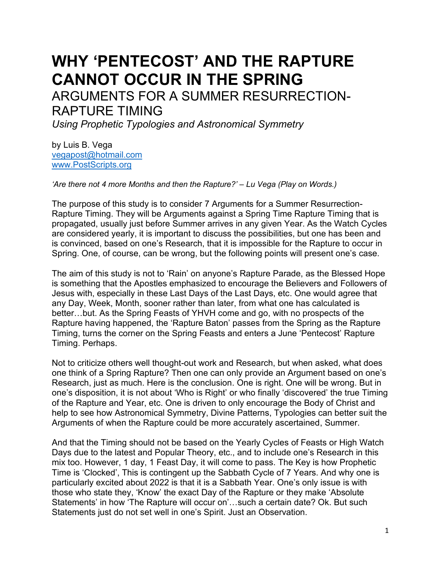# **WHY 'PENTECOST' AND THE RAPTURE CANNOT OCCUR IN THE SPRING**

# ARGUMENTS FOR A SUMMER RESURRECTION-RAPTURE TIMING

*Using Prophetic Typologies and Astronomical Symmetry*

by Luis B. Vega [vegapost@hotmail.com](mailto:vegapost@hotmail.com) [www.PostScripts.org](http://www.postscripts.org/) 

*'Are there not 4 more Months and then the Rapture?' – Lu Vega (Play on Words.)*

The purpose of this study is to consider 7 Arguments for a Summer Resurrection-Rapture Timing. They will be Arguments against a Spring Time Rapture Timing that is propagated, usually just before Summer arrives in any given Year. As the Watch Cycles are considered yearly, it is important to discuss the possibilities, but one has been and is convinced, based on one's Research, that it is impossible for the Rapture to occur in Spring. One, of course, can be wrong, but the following points will present one's case.

The aim of this study is not to 'Rain' on anyone's Rapture Parade, as the Blessed Hope is something that the Apostles emphasized to encourage the Believers and Followers of Jesus with, especially in these Last Days of the Last Days, etc. One would agree that any Day, Week, Month, sooner rather than later, from what one has calculated is better…but. As the Spring Feasts of YHVH come and go, with no prospects of the Rapture having happened, the 'Rapture Baton' passes from the Spring as the Rapture Timing, turns the corner on the Spring Feasts and enters a June 'Pentecost' Rapture Timing. Perhaps.

Not to criticize others well thought-out work and Research, but when asked, what does one think of a Spring Rapture? Then one can only provide an Argument based on one's Research, just as much. Here is the conclusion. One is right. One will be wrong. But in one's disposition, it is not about 'Who is Right' or who finally 'discovered' the true Timing of the Rapture and Year, etc. One is driven to only encourage the Body of Christ and help to see how Astronomical Symmetry, Divine Patterns, Typologies can better suit the Arguments of when the Rapture could be more accurately ascertained, Summer.

And that the Timing should not be based on the Yearly Cycles of Feasts or High Watch Days due to the latest and Popular Theory, etc., and to include one's Research in this mix too. However, 1 day, 1 Feast Day, it will come to pass. The Key is how Prophetic Time is 'Clocked', This is contingent up the Sabbath Cycle of 7 Years. And why one is particularly excited about 2022 is that it is a Sabbath Year. One's only issue is with those who state they, 'Know' the exact Day of the Rapture or they make 'Absolute Statements' in how 'The Rapture will occur on'…such a certain date? Ok. But such Statements just do not set well in one's Spirit. Just an Observation.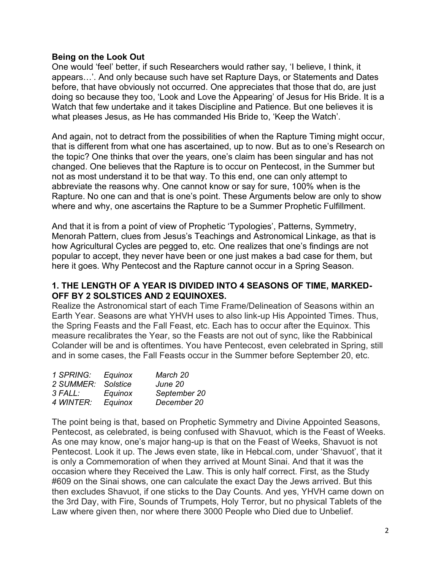#### **Being on the Look Out**

One would 'feel' better, if such Researchers would rather say, 'I believe, I think, it appears…'. And only because such have set Rapture Days, or Statements and Dates before, that have obviously not occurred. One appreciates that those that do, are just doing so because they too, 'Look and Love the Appearing' of Jesus for His Bride. It is a Watch that few undertake and it takes Discipline and Patience. But one believes it is what pleases Jesus, as He has commanded His Bride to, 'Keep the Watch'.

And again, not to detract from the possibilities of when the Rapture Timing might occur, that is different from what one has ascertained, up to now. But as to one's Research on the topic? One thinks that over the years, one's claim has been singular and has not changed. One believes that the Rapture is to occur on Pentecost, in the Summer but not as most understand it to be that way. To this end, one can only attempt to abbreviate the reasons why. One cannot know or say for sure, 100% when is the Rapture. No one can and that is one's point. These Arguments below are only to show where and why, one ascertains the Rapture to be a Summer Prophetic Fulfillment.

And that it is from a point of view of Prophetic 'Typologies', Patterns, Symmetry, Menorah Pattern, clues from Jesus's Teachings and Astronomical Linkage, as that is how Agricultural Cycles are pegged to, etc. One realizes that one's findings are not popular to accept, they never have been or one just makes a bad case for them, but here it goes. Why Pentecost and the Rapture cannot occur in a Spring Season.

# **1. THE LENGTH OF A YEAR IS DIVIDED INTO 4 SEASONS OF TIME, MARKED-OFF BY 2 SOLSTICES AND 2 EQUINOXES.**

Realize the Astronomical start of each Time Frame/Delineation of Seasons within an Earth Year. Seasons are what YHVH uses to also link-up His Appointed Times. Thus, the Spring Feasts and the Fall Feast, etc. Each has to occur after the Equinox. This measure recalibrates the Year, so the Feasts are not out of sync, like the Rabbinical Colander will be and is oftentimes. You have Pentecost, even celebrated in Spring, still and in some cases, the Fall Feasts occur in the Summer before September 20, etc.

| Equinox  | March 20     |
|----------|--------------|
| Solstice | June 20      |
| Equinox  | September 20 |
| Equinox  | December 20  |
|          |              |

The point being is that, based on Prophetic Symmetry and Divine Appointed Seasons, Pentecost, as celebrated, is being confused with Shavuot, which is the Feast of Weeks. As one may know, one's major hang-up is that on the Feast of Weeks, Shavuot is not Pentecost. Look it up. The Jews even state, like in Hebcal.com, under 'Shavuot', that it is only a Commemoration of when they arrived at Mount Sinai. And that it was the occasion where they Received the Law. This is only half correct. First, as the Study #609 on the Sinai shows, one can calculate the exact Day the Jews arrived. But this then excludes Shavuot, if one sticks to the Day Counts. And yes, YHVH came down on the 3rd Day, with Fire, Sounds of Trumpets, Holy Terror, but no physical Tablets of the Law where given then, nor where there 3000 People who Died due to Unbelief.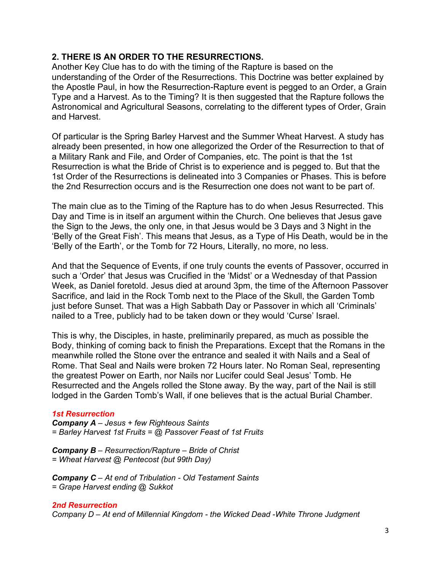# **2. THERE IS AN ORDER TO THE RESURRECTIONS.**

Another Key Clue has to do with the timing of the Rapture is based on the understanding of the Order of the Resurrections. This Doctrine was better explained by the Apostle Paul, in how the Resurrection-Rapture event is pegged to an Order, a Grain Type and a Harvest. As to the Timing? It is then suggested that the Rapture follows the Astronomical and Agricultural Seasons, correlating to the different types of Order, Grain and Harvest.

Of particular is the Spring Barley Harvest and the Summer Wheat Harvest. A study has already been presented, in how one allegorized the Order of the Resurrection to that of a Military Rank and File, and Order of Companies, etc. The point is that the 1st Resurrection is what the Bride of Christ is to experience and is pegged to. But that the 1st Order of the Resurrections is delineated into 3 Companies or Phases. This is before the 2nd Resurrection occurs and is the Resurrection one does not want to be part of.

The main clue as to the Timing of the Rapture has to do when Jesus Resurrected. This Day and Time is in itself an argument within the Church. One believes that Jesus gave the Sign to the Jews, the only one, in that Jesus would be 3 Days and 3 Night in the 'Belly of the Great Fish'. This means that Jesus, as a Type of His Death, would be in the 'Belly of the Earth', or the Tomb for 72 Hours, Literally, no more, no less.

And that the Sequence of Events, if one truly counts the events of Passover, occurred in such a 'Order' that Jesus was Crucified in the 'Midst' or a Wednesday of that Passion Week, as Daniel foretold. Jesus died at around 3pm, the time of the Afternoon Passover Sacrifice, and laid in the Rock Tomb next to the Place of the Skull, the Garden Tomb just before Sunset. That was a High Sabbath Day or Passover in which all 'Criminals' nailed to a Tree, publicly had to be taken down or they would 'Curse' Israel.

This is why, the Disciples, in haste, preliminarily prepared, as much as possible the Body, thinking of coming back to finish the Preparations. Except that the Romans in the meanwhile rolled the Stone over the entrance and sealed it with Nails and a Seal of Rome. That Seal and Nails were broken 72 Hours later. No Roman Seal, representing the greatest Power on Earth, nor Nails nor Lucifer could Seal Jesus' Tomb. He Resurrected and the Angels rolled the Stone away. By the way, part of the Nail is still lodged in the Garden Tomb's Wall, if one believes that is the actual Burial Chamber.

#### *1st Resurrection*

*Company A – Jesus + few Righteous Saints = Barley Harvest 1st Fruits = @ Passover Feast of 1st Fruits*

*Company B – Resurrection/Rapture – Bride of Christ = Wheat Harvest @ Pentecost (but 99th Day)*

*Company C – At end of Tribulation - Old Testament Saints = Grape Harvest ending @ Sukkot*

#### *2nd Resurrection*

*Company D – At end of Millennial Kingdom - the Wicked Dead -White Throne Judgment*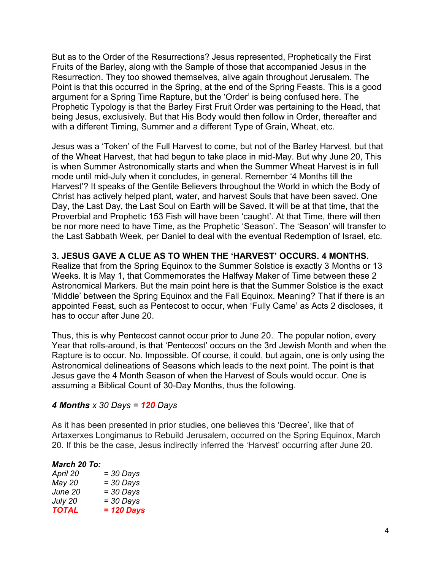But as to the Order of the Resurrections? Jesus represented, Prophetically the First Fruits of the Barley, along with the Sample of those that accompanied Jesus in the Resurrection. They too showed themselves, alive again throughout Jerusalem. The Point is that this occurred in the Spring, at the end of the Spring Feasts. This is a good argument for a Spring Time Rapture, but the 'Order' is being confused here. The Prophetic Typology is that the Barley First Fruit Order was pertaining to the Head, that being Jesus, exclusively. But that His Body would then follow in Order, thereafter and with a different Timing, Summer and a different Type of Grain, Wheat, etc.

Jesus was a 'Token' of the Full Harvest to come, but not of the Barley Harvest, but that of the Wheat Harvest, that had begun to take place in mid-May. But why June 20, This is when Summer Astronomically starts and when the Summer Wheat Harvest is in full mode until mid-July when it concludes, in general. Remember '4 Months till the Harvest'? It speaks of the Gentile Believers throughout the World in which the Body of Christ has actively helped plant, water, and harvest Souls that have been saved. One Day, the Last Day, the Last Soul on Earth will be Saved. It will be at that time, that the Proverbial and Prophetic 153 Fish will have been 'caught'. At that Time, there will then be nor more need to have Time, as the Prophetic 'Season'. The 'Season' will transfer to the Last Sabbath Week, per Daniel to deal with the eventual Redemption of Israel, etc.

# **3. JESUS GAVE A CLUE AS TO WHEN THE 'HARVEST' OCCURS. 4 MONTHS.**

Realize that from the Spring Equinox to the Summer Solstice is exactly 3 Months or 13 Weeks. It is May 1, that Commemorates the Halfway Maker of Time between these 2 Astronomical Markers. But the main point here is that the Summer Solstice is the exact 'Middle' between the Spring Equinox and the Fall Equinox. Meaning? That if there is an appointed Feast, such as Pentecost to occur, when 'Fully Came' as Acts 2 discloses, it has to occur after June 20.

Thus, this is why Pentecost cannot occur prior to June 20. The popular notion, every Year that rolls-around, is that 'Pentecost' occurs on the 3rd Jewish Month and when the Rapture is to occur. No. Impossible. Of course, it could, but again, one is only using the Astronomical delineations of Seasons which leads to the next point. The point is that Jesus gave the 4 Month Season of when the Harvest of Souls would occur. One is assuming a Biblical Count of 30-Day Months, thus the following.

# *4 Months x 30 Days = 120 Days*

As it has been presented in prior studies, one believes this 'Decree', like that of Artaxerxes Longimanus to Rebuild Jerusalem, occurred on the Spring Equinox, March 20. If this be the case, Jesus indirectly inferred the 'Harvest' occurring after June 20.

#### *March 20 To:*

| April 20     | $=$ 30 Days  |
|--------------|--------------|
| May 20       | $=$ 30 Days  |
| June 20      | $=$ 30 Days  |
| July 20      | $=$ 30 Days  |
| <b>TOTAL</b> | $= 120$ Days |
|              |              |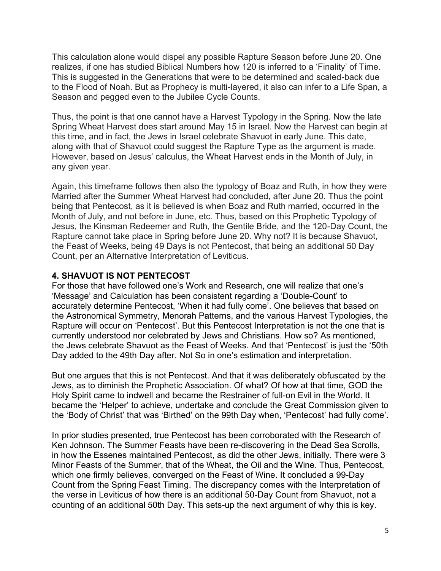This calculation alone would dispel any possible Rapture Season before June 20. One realizes, if one has studied Biblical Numbers how 120 is inferred to a 'Finality' of Time. This is suggested in the Generations that were to be determined and scaled-back due to the Flood of Noah. But as Prophecy is multi-layered, it also can infer to a Life Span, a Season and pegged even to the Jubilee Cycle Counts.

Thus, the point is that one cannot have a Harvest Typology in the Spring. Now the late Spring Wheat Harvest does start around May 15 in Israel. Now the Harvest can begin at this time, and in fact, the Jews in Israel celebrate Shavuot in early June. This date, along with that of Shavuot could suggest the Rapture Type as the argument is made. However, based on Jesus' calculus, the Wheat Harvest ends in the Month of July, in any given year.

Again, this timeframe follows then also the typology of Boaz and Ruth, in how they were Married after the Summer Wheat Harvest had concluded, after June 20. Thus the point being that Pentecost, as it is believed is when Boaz and Ruth married, occurred in the Month of July, and not before in June, etc. Thus, based on this Prophetic Typology of Jesus, the Kinsman Redeemer and Ruth, the Gentile Bride, and the 120-Day Count, the Rapture cannot take place in Spring before June 20. Why not? It is because Shavuot, the Feast of Weeks, being 49 Days is not Pentecost, that being an additional 50 Day Count, per an Alternative Interpretation of Leviticus.

# **4. SHAVUOT IS NOT PENTECOST**

For those that have followed one's Work and Research, one will realize that one's 'Message' and Calculation has been consistent regarding a 'Double-Count' to accurately determine Pentecost, 'When it had fully come'. One believes that based on the Astronomical Symmetry, Menorah Patterns, and the various Harvest Typologies, the Rapture will occur on 'Pentecost'. But this Pentecost Interpretation is not the one that is currently understood nor celebrated by Jews and Christians. How so? As mentioned, the Jews celebrate Shavuot as the Feast of Weeks. And that 'Pentecost' is just the '50th Day added to the 49th Day after. Not So in one's estimation and interpretation.

But one argues that this is not Pentecost. And that it was deliberately obfuscated by the Jews, as to diminish the Prophetic Association. Of what? Of how at that time, GOD the Holy Spirit came to indwell and became the Restrainer of full-on Evil in the World. It became the 'Helper' to achieve, undertake and conclude the Great Commission given to the 'Body of Christ' that was 'Birthed' on the 99th Day when, 'Pentecost' had fully come'.

In prior studies presented, true Pentecost has been corroborated with the Research of Ken Johnson. The Summer Feasts have been re-discovering in the Dead Sea Scrolls, in how the Essenes maintained Pentecost, as did the other Jews, initially. There were 3 Minor Feasts of the Summer, that of the Wheat, the Oil and the Wine. Thus, Pentecost, which one firmly believes, converged on the Feast of Wine. It concluded a 99-Day Count from the Spring Feast Timing. The discrepancy comes with the Interpretation of the verse in Leviticus of how there is an additional 50-Day Count from Shavuot, not a counting of an additional 50th Day. This sets-up the next argument of why this is key.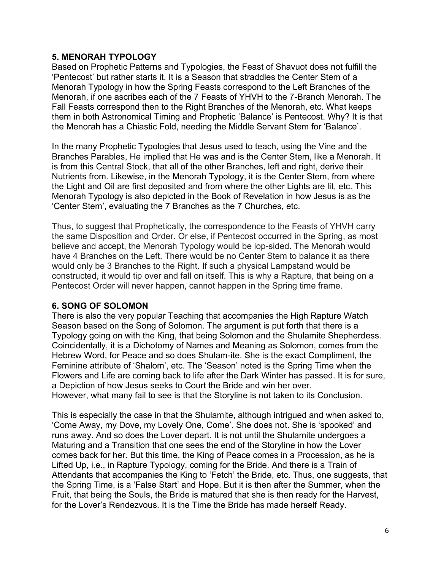# **5. MENORAH TYPOLOGY**

Based on Prophetic Patterns and Typologies, the Feast of Shavuot does not fulfill the 'Pentecost' but rather starts it. It is a Season that straddles the Center Stem of a Menorah Typology in how the Spring Feasts correspond to the Left Branches of the Menorah, if one ascribes each of the 7 Feasts of YHVH to the 7-Branch Menorah. The Fall Feasts correspond then to the Right Branches of the Menorah, etc. What keeps them in both Astronomical Timing and Prophetic 'Balance' is Pentecost. Why? It is that the Menorah has a Chiastic Fold, needing the Middle Servant Stem for 'Balance'.

In the many Prophetic Typologies that Jesus used to teach, using the Vine and the Branches Parables, He implied that He was and is the Center Stem, like a Menorah. It is from this Central Stock, that all of the other Branches, left and right, derive their Nutrients from. Likewise, in the Menorah Typology, it is the Center Stem, from where the Light and Oil are first deposited and from where the other Lights are lit, etc. This Menorah Typology is also depicted in the Book of Revelation in how Jesus is as the 'Center Stem', evaluating the 7 Branches as the 7 Churches, etc.

Thus, to suggest that Prophetically, the correspondence to the Feasts of YHVH carry the same Disposition and Order. Or else, if Pentecost occurred in the Spring, as most believe and accept, the Menorah Typology would be lop-sided. The Menorah would have 4 Branches on the Left. There would be no Center Stem to balance it as there would only be 3 Branches to the Right. If such a physical Lampstand would be constructed, it would tip over and fall on itself. This is why a Rapture, that being on a Pentecost Order will never happen, cannot happen in the Spring time frame.

# **6. SONG OF SOLOMON**

There is also the very popular Teaching that accompanies the High Rapture Watch Season based on the Song of Solomon. The argument is put forth that there is a Typology going on with the King, that being Solomon and the Shulamite Shepherdess. Coincidentally, it is a Dichotomy of Names and Meaning as Solomon, comes from the Hebrew Word, for Peace and so does Shulam-ite. She is the exact Compliment, the Feminine attribute of 'Shalom', etc. The 'Season' noted is the Spring Time when the Flowers and Life are coming back to life after the Dark Winter has passed. It is for sure, a Depiction of how Jesus seeks to Court the Bride and win her over. However, what many fail to see is that the Storyline is not taken to its Conclusion.

This is especially the case in that the Shulamite, although intrigued and when asked to, 'Come Away, my Dove, my Lovely One, Come'. She does not. She is 'spooked' and runs away. And so does the Lover depart. It is not until the Shulamite undergoes a Maturing and a Transition that one sees the end of the Storyline in how the Lover comes back for her. But this time, the King of Peace comes in a Procession, as he is Lifted Up, i.e., in Rapture Typology, coming for the Bride. And there is a Train of Attendants that accompanies the King to 'Fetch' the Bride, etc. Thus, one suggests, that the Spring Time, is a 'False Start' and Hope. But it is then after the Summer, when the Fruit, that being the Souls, the Bride is matured that she is then ready for the Harvest, for the Lover's Rendezvous. It is the Time the Bride has made herself Ready.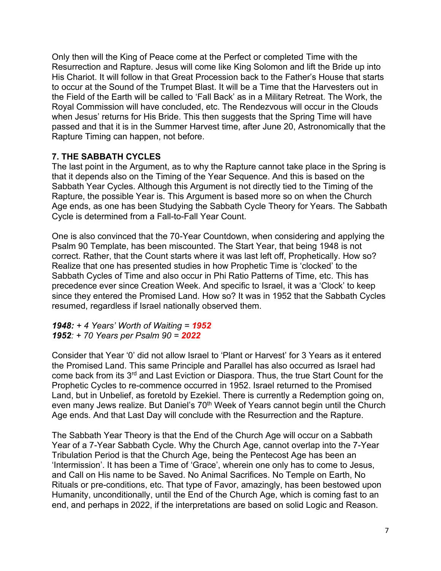Only then will the King of Peace come at the Perfect or completed Time with the Resurrection and Rapture. Jesus will come like King Solomon and lift the Bride up into His Chariot. It will follow in that Great Procession back to the Father's House that starts to occur at the Sound of the Trumpet Blast. It will be a Time that the Harvesters out in the Field of the Earth will be called to 'Fall Back' as in a Military Retreat. The Work, the Royal Commission will have concluded, etc. The Rendezvous will occur in the Clouds when Jesus' returns for His Bride. This then suggests that the Spring Time will have passed and that it is in the Summer Harvest time, after June 20, Astronomically that the Rapture Timing can happen, not before.

# **7. THE SABBATH CYCLES**

The last point in the Argument, as to why the Rapture cannot take place in the Spring is that it depends also on the Timing of the Year Sequence. And this is based on the Sabbath Year Cycles. Although this Argument is not directly tied to the Timing of the Rapture, the possible Year is. This Argument is based more so on when the Church Age ends, as one has been Studying the Sabbath Cycle Theory for Years. The Sabbath Cycle is determined from a Fall-to-Fall Year Count.

One is also convinced that the 70-Year Countdown, when considering and applying the Psalm 90 Template, has been miscounted. The Start Year, that being 1948 is not correct. Rather, that the Count starts where it was last left off, Prophetically. How so? Realize that one has presented studies in how Prophetic Time is 'clocked' to the Sabbath Cycles of Time and also occur in Phi Ratio Patterns of Time, etc. This has precedence ever since Creation Week. And specific to Israel, it was a 'Clock' to keep since they entered the Promised Land. How so? It was in 1952 that the Sabbath Cycles resumed, regardless if Israel nationally observed them.

#### *1948: + 4 Years' Worth of Waiting = 1952 1952: + 70 Years per Psalm 90 = 2022*

Consider that Year '0' did not allow Israel to 'Plant or Harvest' for 3 Years as it entered the Promised Land. This same Principle and Parallel has also occurred as Israel had come back from its 3rd and Last Eviction or Diaspora. Thus, the true Start Count for the Prophetic Cycles to re-commence occurred in 1952. Israel returned to the Promised Land, but in Unbelief, as foretold by Ezekiel. There is currently a Redemption going on, even many Jews realize. But Daniel's 70<sup>th</sup> Week of Years cannot begin until the Church Age ends. And that Last Day will conclude with the Resurrection and the Rapture.

The Sabbath Year Theory is that the End of the Church Age will occur on a Sabbath Year of a 7-Year Sabbath Cycle. Why the Church Age, cannot overlap into the 7-Year Tribulation Period is that the Church Age, being the Pentecost Age has been an 'Intermission'. It has been a Time of 'Grace', wherein one only has to come to Jesus, and Call on His name to be Saved. No Animal Sacrifices. No Temple on Earth, No Rituals or pre-conditions, etc. That type of Favor, amazingly, has been bestowed upon Humanity, unconditionally, until the End of the Church Age, which is coming fast to an end, and perhaps in 2022, if the interpretations are based on solid Logic and Reason.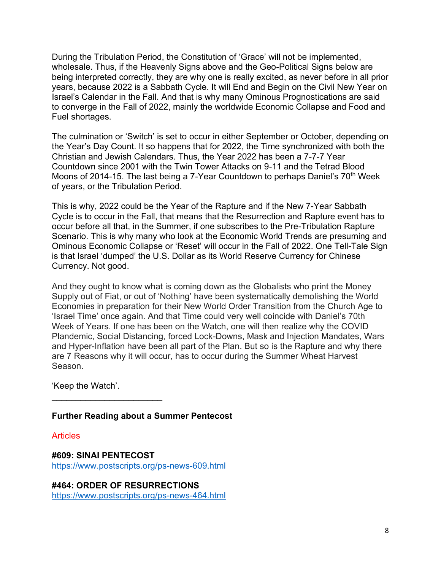During the Tribulation Period, the Constitution of 'Grace' will not be implemented, wholesale. Thus, if the Heavenly Signs above and the Geo-Political Signs below are being interpreted correctly, they are why one is really excited, as never before in all prior years, because 2022 is a Sabbath Cycle. It will End and Begin on the Civil New Year on Israel's Calendar in the Fall. And that is why many Ominous Prognostications are said to converge in the Fall of 2022, mainly the worldwide Economic Collapse and Food and Fuel shortages.

The culmination or 'Switch' is set to occur in either September or October, depending on the Year's Day Count. It so happens that for 2022, the Time synchronized with both the Christian and Jewish Calendars. Thus, the Year 2022 has been a 7-7-7 Year Countdown since 2001 with the Twin Tower Attacks on 9-11 and the Tetrad Blood Moons of 2014-15. The last being a 7-Year Countdown to perhaps Daniel's  $70<sup>th</sup>$  Week of years, or the Tribulation Period.

This is why, 2022 could be the Year of the Rapture and if the New 7-Year Sabbath Cycle is to occur in the Fall, that means that the Resurrection and Rapture event has to occur before all that, in the Summer, if one subscribes to the Pre-Tribulation Rapture Scenario. This is why many who look at the Economic World Trends are presuming and Ominous Economic Collapse or 'Reset' will occur in the Fall of 2022. One Tell-Tale Sign is that Israel 'dumped' the U.S. Dollar as its World Reserve Currency for Chinese Currency. Not good.

And they ought to know what is coming down as the Globalists who print the Money Supply out of Fiat, or out of 'Nothing' have been systematically demolishing the World Economies in preparation for their New World Order Transition from the Church Age to 'Israel Time' once again. And that Time could very well coincide with Daniel's 70th Week of Years. If one has been on the Watch, one will then realize why the COVID Plandemic, Social Distancing, forced Lock-Downs, Mask and Injection Mandates, Wars and Hyper-Inflation have been all part of the Plan. But so is the Rapture and why there are 7 Reasons why it will occur, has to occur during the Summer Wheat Harvest Season.

'Keep the Watch'.

# **Further Reading about a Summer Pentecost**

**Articles** 

# **#609: SINAI PENTECOST**

 $\mathcal{L}_\text{max}$  , where  $\mathcal{L}_\text{max}$  , we have the set of the set of the set of the set of the set of the set of the set of the set of the set of the set of the set of the set of the set of the set of the set of the set of

<https://www.postscripts.org/ps-news-609.html>

**#464: ORDER OF RESURRECTIONS** <https://www.postscripts.org/ps-news-464.html>